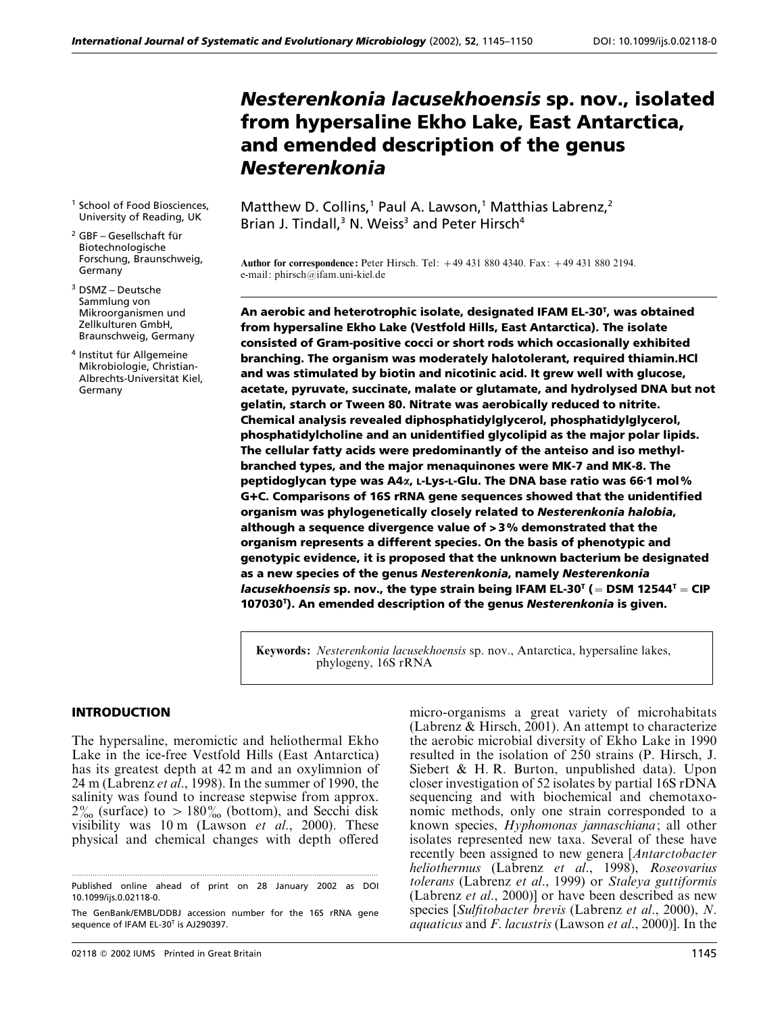# *Nesterenkonia lacusekhoensis* **sp. nov., isolated from hypersaline Ekho Lake, East Antarctica, and emended description of the genus** *Nesterenkonia*

- <sup>1</sup> School of Food Biosciences, University of Reading, UK
- $2$  GBF Gesellschaft für Biotechnologische Forschung, Braunschweig, Germany
- <sup>3</sup> DSMZ Deutsche Sammlung von Mikroorganismen und Zellkulturen GmbH, Braunschweig, Germany
- <sup>4</sup> Institut für Allgemeine Mikrobiologie, Christian-Albrechts-Universität Kiel, Germany

Matthew D. Collins,<sup>1</sup> Paul A. Lawson,<sup>1</sup> Matthias Labrenz,<sup>2</sup> Brian J. Tindall, $3$  N. Weiss<sup>3</sup> and Peter Hirsch<sup>4</sup>

**Author for correspondence:** Peter Hirsch. Tel: 49 431 880 4340. Fax: 49 431 880 2194. e-mail: phirsch@ifam.uni-kiel.de

**An aerobic and heterotrophic isolate, designated IFAM EL-30T , was obtained from hypersaline Ekho Lake (Vestfold Hills, East Antarctica). The isolate consisted of Gram-positive cocci or short rods which occasionally exhibited branching. The organism was moderately halotolerant, required thiamin.HCl and was stimulated by biotin and nicotinic acid. It grew well with glucose, acetate, pyruvate, succinate, malate or glutamate, and hydrolysed DNA but not gelatin, starch or Tween 80. Nitrate was aerobically reduced to nitrite. Chemical analysis revealed diphosphatidylglycerol, phosphatidylglycerol, phosphatidylcholine and an unidentified glycolipid as the major polar lipids. The cellular fatty acids were predominantly of the anteiso and iso methylbranched types, and the major menaquinones were MK-7 and MK-8. The peptidoglycan type was A4***α***, L-Lys-L-Glu. The DNA base ratio was 66**<**1 mol% G**M**C. Comparisons of 16S rRNA gene sequences showed that the unidentified organism was phylogenetically closely related to** *Nesterenkonia halobia***, although a sequence divergence value of** S **3% demonstrated that the organism represents a different species. On the basis of phenotypic and genotypic evidence, it is proposed that the unknown bacterium be designated as a new species of the genus** *Nesterenkonia***, namely** *Nesterenkonia lacusekhoensis* sp. nov., the type strain being IFAM EL-30<sup>T</sup> (= DSM 12544<sup>T</sup> = CIP **107030T ). An emended description of the genus** *Nesterenkonia* **is given.**

**Keywords:** *Nesterenkonia lacusekhoensis* sp. nov., Antarctica, hypersaline lakes, phylogeny, 16S rRNA

## **INTRODUCTION**

The hypersaline, meromictic and heliothermal Ekho Lake in the ice-free Vestfold Hills (East Antarctica) has its greatest depth at 42 m and an oxylimnion of 24 m (Labrenz *et al*., 1998). In the summer of 1990, the salinity was found to increase stepwise from approx.  $2\%$  (surface) to  $> 180\%$  (bottom), and Secchi disk visibility was 10 m (Lawson *et al*., 2000). These physical and chemical changes with depth offered

micro-organisms a great variety of microhabitats (Labrenz & Hirsch, 2001). An attempt to characterize the aerobic microbial diversity of Ekho Lake in 1990 resulted in the isolation of 250 strains (P. Hirsch, J. Siebert & H. R. Burton, unpublished data). Upon closer investigation of 52 isolates by partial 16S rDNA sequencing and with biochemical and chemotaxonomic methods, only one strain corresponded to a known species, *Hyphomonas jannaschiana*; all other isolates represented new taxa. Several of these have recently been assigned to new genera [*Antarctobacter heliothermus* (Labrenz *et al*., 1998), *Roseovarius tolerans* (Labrenz *et al*., 1999) or *Staleya guttiformis* (Labrenz *et al*., 2000)] or have been described as new species [*Sulfitobacter brevis* (Labrenz *et al*., 2000), *N*. *aquaticus* and *F*. *lacustris* (Lawson *et al*., 2000)]. In the

<sup>.................................................................................................................................................</sup> Published online ahead of print on 28 January 2002 as DOI 10.1099/ijs.0.02118-0.

The GenBank/EMBL/DDBJ accession number for the 16S rRNA gene sequence of IFAM EL-30<sup>T</sup> is AJ290397.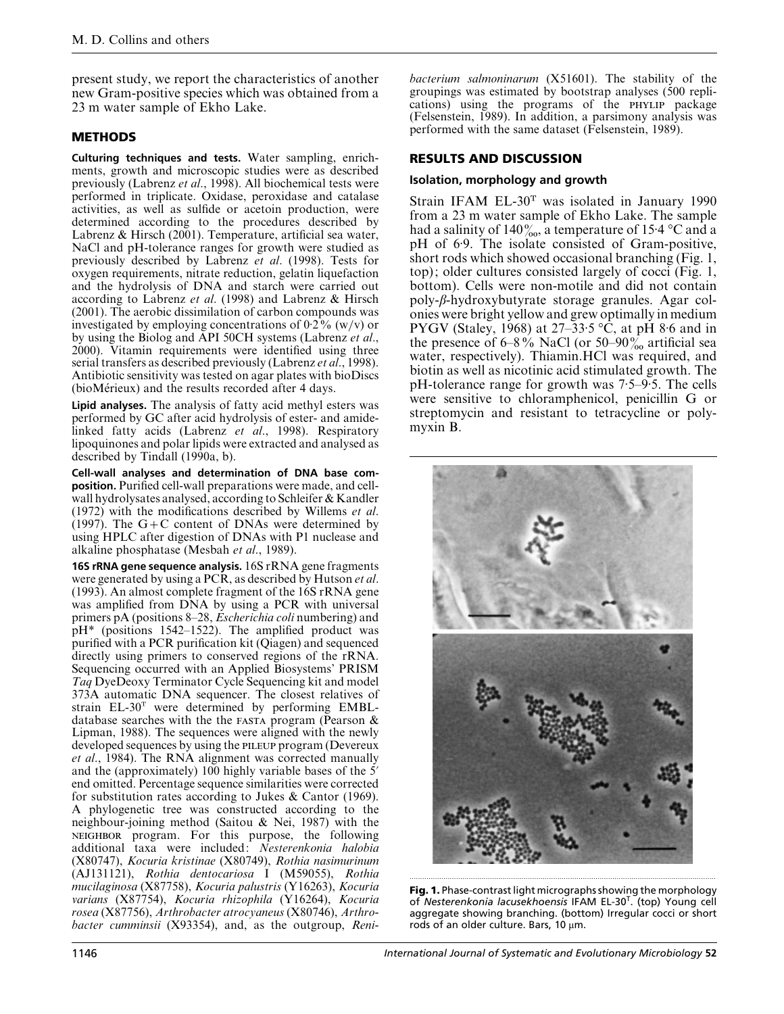present study, we report the characteristics of another new Gram-positive species which was obtained from a 23 m water sample of Ekho Lake.

## **METHODS**

**Culturing techniques and tests.** Water sampling, enrichments, growth and microscopic studies were as described previously (Labrenz *et al*., 1998). All biochemical tests were performed in triplicate. Oxidase, peroxidase and catalase activities, as well as sulfide or acetoin production, were determined according to the procedures described by Labrenz & Hirsch (2001). Temperature, artificial sea water, NaCl and pH-tolerance ranges for growth were studied as previously described by Labrenz *et al*. (1998). Tests for oxygen requirements, nitrate reduction, gelatin liquefaction and the hydrolysis of DNA and starch were carried out according to Labrenz *et al*. (1998) and Labrenz & Hirsch (2001). The aerobic dissimilation of carbon compounds was investigated by employing concentrations of  $0.2\%$  (w/v) or by using the Biolog and API 50CH systems (Labrenz *et al*., 2000). Vitamin requirements were identified using three serial transfers as described previously (Labrenz *et al*., 1998). Antibiotic sensitivity was tested on agar plates with bioDiscs (bioMérieux) and the results recorded after 4 days.

**Lipid analyses.** The analysis of fatty acid methyl esters was performed by GC after acid hydrolysis of ester- and amidelinked fatty acids (Labrenz *et al*., 1998). Respiratory lipoquinones and polar lipids were extracted and analysed as described by Tindall (1990a, b).

**Cell-wall analyses and determination of DNA base composition.** Purified cell-wall preparations were made, and cellwall hydrolysates analysed, according to Schleifer & Kandler (1972) with the modifications described by Willems *et al*. (1997). The  $G + C$  content of DNAs were determined by using HPLC after digestion of DNAs with P1 nuclease and alkaline phosphatase (Mesbah *et al*., 1989).

**16S rRNA gene sequence analysis.** 16S rRNA gene fragments were generated by using a PCR, as described by Hutson *et al*. (1993). An almost complete fragment of the 16S rRNA gene was amplified from DNA by using a PCR with universal primers pA (positions 8–28, *Escherichia coli* numbering) and pH\* (positions 1542–1522). The amplified product was purified with a PCR purification kit (Qiagen) and sequenced directly using primers to conserved regions of the rRNA. Sequencing occurred with an Applied Biosystems' PRISM *Taq* DyeDeoxy Terminator Cycle Sequencing kit and model 373A automatic DNA sequencer. The closest relatives of strain EL-30T were determined by performing EMBLdatabase searches with the the  $FASTA$  program (Pearson  $\&$ Lipman, 1988). The sequences were aligned with the newly developed sequences by using the PILEUP program (Devereux *et al*., 1984). The RNA alignment was corrected manually and the (approximately) 100 highly variable bases of the 5<sup>'</sup> end omitted. Percentage sequence similarities were corrected for substitution rates according to Jukes & Cantor (1969). A phylogenetic tree was constructed according to the neighbour-joining method (Saitou & Nei, 1987) with the NEIGHBOR program. For this purpose, the following additional taxa were included: *Nesterenkonia halobia* (X80747), *Kocuria kristinae* (X80749), *Rothia nasimurinum* (AJ131121), *Rothia dentocariosa* I (M59055), *Rothia mucilaginosa* (X87758), *Kocuria palustris* (Y16263), *Kocuria varians* (X87754), *Kocuria rhizophila* (Y16264), *Kocuria rosea* (X87756), *Arthrobacter atrocyaneus* (X80746), *Arthrobacter cumminsii* (X93354), and, as the outgroup, *Reni*-

*bacterium salmoninarum* (X51601). The stability of the groupings was estimated by bootstrap analyses (500 replications) using the programs of the PHYLIP package (Felsenstein, 1989). In addition, a parsimony analysis was performed with the same dataset (Felsenstein, 1989).

## **RESULTS AND DISCUSSION**

#### **Isolation, morphology and growth**

Strain IFAM  $EL-30<sup>T</sup>$  was isolated in January 1990 from a 23 m water sample of Ekho Lake. The sample had a salinity of 140 $\frac{9}{200}$ , a temperature of 15 $\cdot$ 4 °C and a pH of 6.9. The isolate consisted of Gram-positive, short rods which showed occasional branching (Fig. 1, top); older cultures consisted largely of cocci (Fig. 1, bottom). Cells were non-motile and did not contain poly-β-hydroxybutyrate storage granules. Agar colonies were bright yellow and grew optimally in medium PYGV (Staley, 1968) at  $27-33.5$  °C, at pH 8.6 and in the presence of  $6-8\%$  NaCl (or  $50-90\%$  artificial sea water, respectively). Thiamin.HCl was required, and biotin as well as nicotinic acid stimulated growth. The pH-tolerance range for growth was  $7.5-9.5$ . The cells were sensitive to chloramphenicol, penicillin G or streptomycin and resistant to tetracycline or polymyxin B.



**Fig. 1.** Phase-contrast light micrographs showing the morphology of *Nesterenkonia lacusekhoensis* IFAM EL-30T. (top) Young cell aggregate showing branching. (bottom) Irregular cocci or short rods of an older culture. Bars, 10 µm.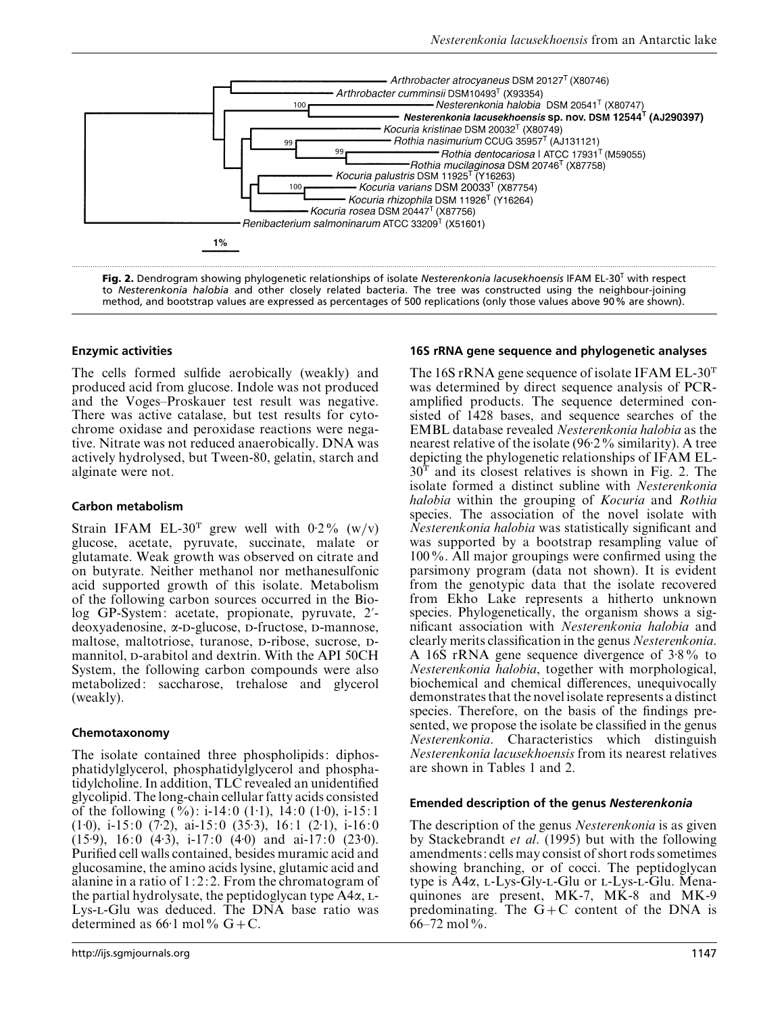

**Fig. 2.** Dendrogram showing phylogenetic relationships of isolate *Nesterenkonia lacusekhoensis* IFAM EL-30<sup>T</sup> with respect to *Nesterenkonia halobia* and other closely related bacteria. The tree was constructed using the neighbour-joining method, and bootstrap values are expressed as percentages of 500 replications (only those values above 90% are shown).

## **Enzymic activities**

The cells formed sulfide aerobically (weakly) and produced acid from glucose. Indole was not produced and the Voges–Proskauer test result was negative. There was active catalase, but test results for cytochrome oxidase and peroxidase reactions were negative. Nitrate was not reduced anaerobically. DNA was actively hydrolysed, but Tween-80, gelatin, starch and alginate were not.

## **Carbon metabolism**

Strain IFAM EL-30<sup>T</sup> grew well with 0.2% (w/v) glucose, acetate, pyruvate, succinate, malate or glutamate. Weak growth was observed on citrate and on butyrate. Neither methanol nor methanesulfonic acid supported growth of this isolate. Metabolism of the following carbon sources occurred in the Biolog GP-System: acetate, propionate, pyruvate, 2'deoxyadenosine, α-D-glucose, D-fructose, D-mannose, maltose, maltotriose, turanose, p-ribose, sucrose, pmannitol, p-arabitol and dextrin. With the API 50CH System, the following carbon compounds were also metabolized: saccharose, trehalose and glycerol (weakly).

## **Chemotaxonomy**

The isolate contained three phospholipids: diphosphatidylglycerol, phosphatidylglycerol and phosphatidylcholine. In addition, TLC revealed an unidentified glycolipid. The long-chain cellular fatty acids consisted of the following  $(\%):$  i-14:0  $(1\cdot1), 14:0$   $(1\cdot0),$  i-15:1  $(1·0)$ , i-15: 0  $(7·2)$ , ai-15: 0  $(35·3)$ , 16: 1  $(2·1)$ , i-16: 0  $(15.9)$ , 16:0  $(4.3)$ , i-17:0  $(4.0)$  and ai-17:0  $(23.0)$ . Purified cell walls contained, besides muramic acid and glucosamine, the amino acids lysine, glutamic acid and alanine in a ratio of  $1:2:2$ . From the chromatogram of the partial hydrolysate, the peptidoglycan type  $A4\alpha$ , L-Lys-L-Glu was deduced. The DNA base ratio was determined as  $66·1$  mol%  $G + C$ .

## **16S rRNA gene sequence and phylogenetic analyses**

The 16S rRNA gene sequence of isolate IFAM EL-30<sup>T</sup> was determined by direct sequence analysis of PCRamplified products. The sequence determined consisted of 1428 bases, and sequence searches of the EMBL database revealed *Nesterenkonia halobia* as the nearest relative of the isolate  $(96.2\%$  similarity). A tree depicting the phylogenetic relationships of IFAM EL- $30<sup>T</sup>$  and its closest relatives is shown in Fig. 2. The isolate formed a distinct subline with *Nesterenkonia halobia* within the grouping of *Kocuria* and *Rothia* species. The association of the novel isolate with *Nesterenkonia halobia* was statistically significant and was supported by a bootstrap resampling value of 100%. All major groupings were confirmed using the parsimony program (data not shown). It is evident from the genotypic data that the isolate recovered from Ekho Lake represents a hitherto unknown species. Phylogenetically, the organism shows a significant association with *Nesterenkonia halobia* and clearly merits classification in the genus *Nesterenkonia*. A 16S rRNA gene sequence divergence of 3±8% to *Nesterenkonia halobia*, together with morphological, biochemical and chemical differences, unequivocally demonstrates that the novel isolate represents a distinct species. Therefore, on the basis of the findings presented, we propose the isolate be classified in the genus *Nesterenkonia*. Characteristics which distinguish *Nesterenkonia lacusekhoensis* from its nearest relatives are shown in Tables 1 and 2.

## **Emended description of the genus** *Nesterenkonia*

The description of the genus *Nesterenkonia* is as given by Stackebrandt *et al*. (1995) but with the following amendments: cells may consist of short rods sometimes showing branching, or of cocci. The peptidoglycan type is  $A4\alpha$ , L-Lys-Gly-L-Glu or L-Lys-L-Glu. Menaquinones are present, MK-7, MK-8 and MK-9 predominating. The  $G+C$  content of the DNA is  $66 - 72$  mol%.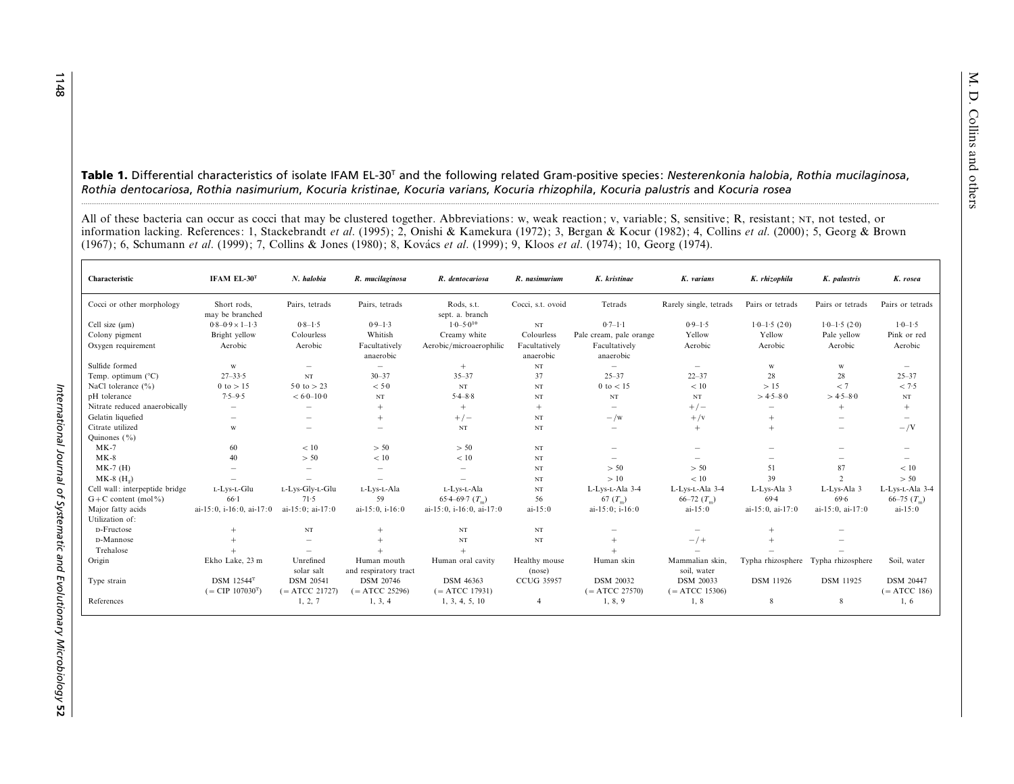M. D. Collins and others **Table 1.** Differential characteristics of isolate IFAM EL-30T and the following related Gram-positive species: *Nesterenkonia halobia*, *Rothia mucilaginosa*, *Rothia dentocariosa*, *Rothia nasimurium*, *Kocuria kristinae*, *Kocuria varians*, *Kocuria rhizophila*, *Kocuria palustris* and *Kocuria rosea* ......................................................................................................................................................................................................................................................................................................................................................................................................................

All of these bacteria can occur as cocci that may be clustered together. Abbreviations: w, weak reaction; v, variable; S, sensitive; R, resistant; , not tested, or information lacking. References: 1, Stackebrandt *et al*. (1995); 2, Onishi & Kamekura (1972); 3, Bergan & Kocur (1982); 4, Collins *et al*. (2000); 5, Georg & Brown (1967); 6, Schumann *et al.* (1999); 7, Collins & Jones (1980); 8, Kovács *et al.* (1999); 9, Kloos *et al.* (1974); 10, Georg (1974).

| Characteristic                 | IFAM EL- $30T$                                                  | N. halobia                           | R. mucilaginosa                      | R. dentocariosa                      | R. nasimurium              | K. kristinae                         | K. varians                           | K. rhizophila                   | K. palustris             | K. rosea                           |
|--------------------------------|-----------------------------------------------------------------|--------------------------------------|--------------------------------------|--------------------------------------|----------------------------|--------------------------------------|--------------------------------------|---------------------------------|--------------------------|------------------------------------|
| Cocci or other morphology      | Short rods,<br>may be branched                                  | Pairs, tetrads                       | Pairs, tetrads                       | Rods, s.t.<br>sept. a. branch        | Cocci, s.t. ovoid          | Tetrads                              | Rarely single, tetrads               | Pairs or tetrads                | Pairs or tetrads         | Pairs or tetrads                   |
| Cell size $(\mu m)$            | $0.8 - 0.9 \times 1 - 1.3$                                      | $0.8 - 1.5$                          | $0.9 - 1.3$                          | $1.0 - 5.0^{10}$                     | $_{\rm NT}$                | $0.7 - 1.1$                          | $0.9 - 1.5$                          | $1.0 - 1.5(2.0)$                | $1.0 - 1.5(2.0)$         | $1.0 - 1.5$                        |
| Colony pigment                 | Bright yellow                                                   | Colourless                           | Whitish                              | Creamy white                         | Colourless                 | Pale cream, pale orange              | Yellow                               | Yellow                          | Pale yellow              | Pink or red                        |
| Oxygen requirement             | Aerobic                                                         | Aerobic                              | Facultatively<br>anaerobic           | Aerobic/microaerophilic              | Facultatively<br>anaerobic | Facultatively<br>anaerobic           | Aerobic                              | Aerobic                         | Aerobic                  | Aerobic                            |
| Sulfide formed                 | W                                                               | $\qquad \qquad =$                    | $\overline{\phantom{m}}$             | $+$                                  | $_{\rm NT}$                | $\overline{\phantom{a}}$             | $\overline{\phantom{a}}$             | W                               | W                        | $\overline{\phantom{a}}$           |
| Temp. optimum $(^{\circ}C)$    | $27 - 33.5$                                                     | NT                                   | $30 - 37$                            | $35 - 37$                            | 37                         | $25 - 37$                            | $22 - 37$                            | 28                              | 28                       | $25 - 37$                          |
| NaCl tolerance $(\% )$         | $0$ to $> 15$                                                   | 5.0 to $> 23$                        | < 5.0                                | $_{\rm NT}$                          | $_{\rm NT}$                | $0$ to $< 15$                        | < 10                                 | >15                             | < 7                      | < 7.5                              |
| pH tolerance                   | $7.5 - 9.5$                                                     | $< 6.0 - 10.0$                       | $_{\rm NT}$                          | $5.4 - 8.8$                          | $_{\rm NT}$                | NT                                   | NT                                   | $>4.5-8.0$                      | $>4.5-8.0$               | $_{\rm NT}$                        |
| Nitrate reduced anaerobically  | $\qquad \qquad -$                                               | $\overline{\phantom{a}}$             | $^{+}$                               | $+$                                  | $^{+}$                     |                                      | $+/-$                                | $\hspace{0.1mm}-\hspace{0.1mm}$ | $^{+}$                   | $^{+}$                             |
| Gelatin liquefied              | $\qquad \qquad -$                                               |                                      | $+$                                  | $+/-$                                | $_{\rm NT}$                | $-\sqrt{w}$                          | $+$ /v                               | $+$                             | $\overline{\phantom{a}}$ | -                                  |
| Citrate utilized               | W                                                               |                                      | -                                    | $_{\rm NT}$                          | $_{\rm NT}$                |                                      | $+$                                  | $+$                             |                          | $-\sqrt{V}$                        |
| Quinones $(\% )$               |                                                                 |                                      |                                      |                                      |                            |                                      |                                      |                                 |                          |                                    |
| $MK-7$                         | 60                                                              | < 10                                 | > 50                                 | > 50                                 | $_{\rm NT}$                | $\overline{\phantom{a}}$             |                                      |                                 |                          |                                    |
| $MK-8$                         | 40                                                              | > 50                                 | $<10$                                | $<10$                                | $_{\rm NT}$                |                                      |                                      |                                 |                          |                                    |
| $MK-7$ (H)                     | <b>Service</b>                                                  | $\qquad \qquad =$                    |                                      | $\sim$                               | $_{\rm NT}$                | > 50                                 | > 50                                 | 51                              | 87                       | < 10                               |
| $MK-8$ $(H2)$                  |                                                                 |                                      |                                      | $\overline{\phantom{a}}$             | $_{\rm NT}$                | >10                                  | < 10                                 | 39                              | $\mathcal{D}$            | > 50                               |
| Cell wall: interpeptide bridge | L-Lys-L-Glu                                                     | L-Lys-Gly-L-Glu                      | L-Lys-L-Ala                          | L-Lys-L-Ala                          | $_{\rm NT}$                | L-Lys-L-Ala 3-4                      | L-Lys-L-Ala 3-4                      | L-Lys-Ala 3                     | L-Lys-Ala 3              | L-Lys-L-Ala 3-4                    |
| $G + C$ content (mol%)         | $66-1$                                                          | 71.5                                 | 59                                   | 65.4–69.7 $(T_m)$                    | 56                         | 67 $(T_m)$                           | 66–72 $(T_m)$                        | 69.4                            | 69.6                     | 66–75 $(T_m)$                      |
| Major fatty acids              | ai-15:0, i-16:0, ai-17:0                                        | ai-15:0: ai-17:0                     | ai-15:0. $i-16:0$                    | ai-15:0, i-16:0, ai-17:0             | $ai-15:0$                  | ai-15:0; i-16:0                      | $ai-15:0$                            | ai-15:0, ai-17:0                | ai-15:0, ai-17:0         | $ai-15:0$                          |
| Utilization of:                |                                                                 |                                      |                                      |                                      |                            |                                      |                                      |                                 |                          |                                    |
| D-Fructose                     | $^{+}$                                                          | NT                                   |                                      | $_{\rm NT}$                          | $_{\rm NT}$                |                                      |                                      | $^{+}$                          |                          |                                    |
| D-Mannose                      | $^{+}$                                                          | $\qquad \qquad =$                    |                                      | $_{\rm NT}$                          | NT                         | $+$                                  | $-$ /+                               | $+$                             |                          |                                    |
| Trehalose                      |                                                                 | $\overline{\phantom{a}}$             |                                      |                                      |                            |                                      |                                      |                                 |                          |                                    |
| Origin                         | Ekho Lake, 23 m                                                 | Unrefined<br>solar salt              | Human mouth<br>and respiratory tract | Human oral cavity                    | Healthy mouse<br>(nose)    | Human skin                           | Mammalian skin,<br>soil, water       | Typha rhizosphere               | Typha rhizosphere        | Soil, water                        |
| Type strain                    | <b>DSM</b> 12544 <sup>T</sup><br>$(=$ CIP 107030 <sup>T</sup> ) | <b>DSM 20541</b><br>$(= ATCC 21727)$ | <b>DSM 20746</b><br>$(= ATCC 25296)$ | <b>DSM 46363</b><br>$(= ATCC 17931)$ | <b>CCUG 35957</b>          | <b>DSM 20032</b><br>$(= ATCC 27570)$ | <b>DSM 20033</b><br>$(= ATCC 15306)$ | <b>DSM</b> 11926                | <b>DSM</b> 11925         | <b>DSM 20447</b><br>$(= ATCC 186)$ |
| References                     |                                                                 | 1, 2, 7                              | 1, 3, 4                              | 1, 3, 4, 5, 10                       | 4                          | 1, 8, 9                              | 1, 8                                 | 8                               | 8                        | 1, 6                               |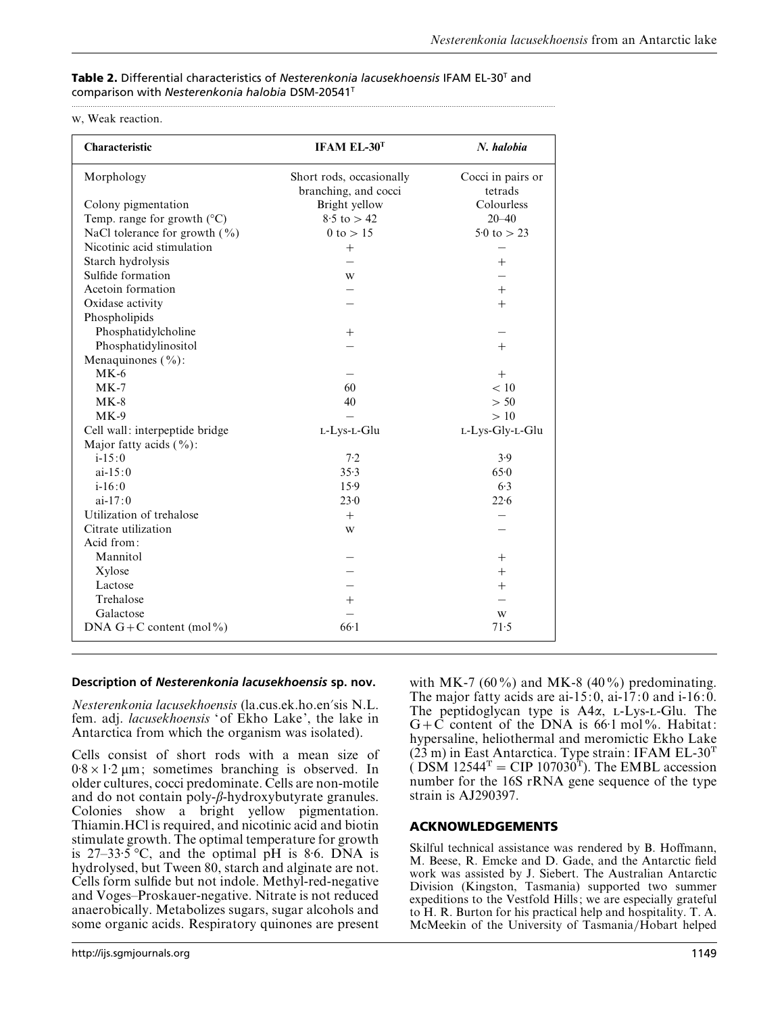## **Table 2.** Differential characteristics of *Nesterenkonia lacusekhoensis* IFAM EL-30T and comparison with *Nesterenkonia halobia* DSM-20541T

.....................................................................................................................................................................................................................................

#### , Weak reaction.

| Characteristic                       | IFAM EL-30T                                      | N. halobia                   |  |  |
|--------------------------------------|--------------------------------------------------|------------------------------|--|--|
| Morphology                           | Short rods, occasionally<br>branching, and cocci | Cocci in pairs or<br>tetrads |  |  |
| Colony pigmentation                  | Bright yellow                                    | Colourless                   |  |  |
| Temp. range for growth $(^{\circ}C)$ | $8.5 \text{ to } > 42$                           | $20 - 40$                    |  |  |
| NaCl tolerance for growth $(\% )$    | 0 to $> 15$                                      | $5.0 \text{ to } > 23$       |  |  |
| Nicotinic acid stimulation           | $+$                                              |                              |  |  |
| Starch hydrolysis                    |                                                  | $^{+}$                       |  |  |
| Sulfide formation                    | W                                                |                              |  |  |
| Acetoin formation                    |                                                  | $+$                          |  |  |
| Oxidase activity                     |                                                  | $+$                          |  |  |
| Phospholipids                        |                                                  |                              |  |  |
| Phosphatidylcholine                  | $^{+}$                                           |                              |  |  |
| Phosphatidylinositol                 |                                                  | $^{+}$                       |  |  |
| Menaquinones $(\frac{0}{0})$ :       |                                                  |                              |  |  |
| $MK-6$                               |                                                  | $^{+}$                       |  |  |
| $MK-7$                               | 60                                               | < 10                         |  |  |
| $MK-8$                               | 40                                               | > 50                         |  |  |
| $MK-9$                               |                                                  | >10                          |  |  |
| Cell wall: interpeptide bridge       | L-Lys-L-Glu                                      | L-Lys-Gly-L-Glu              |  |  |
| Major fatty acids $(\%):$            |                                                  |                              |  |  |
| $i - 15:0$                           | 7.2                                              | 3.9                          |  |  |
| $ai-15:0$                            | 35.3                                             | 650                          |  |  |
| $i - 16:0$                           | 15.9                                             | 6.3                          |  |  |
| $ai-17:0$                            | 23.0                                             | 22.6                         |  |  |
| Utilization of trehalose             | $^{+}$                                           |                              |  |  |
| Citrate utilization                  | W                                                |                              |  |  |
| Acid from:                           |                                                  |                              |  |  |
| Mannitol                             |                                                  | $^+$                         |  |  |
| Xylose                               |                                                  | $^{+}$                       |  |  |
| Lactose                              |                                                  | $^+$                         |  |  |
| Trehalose                            | $\hspace{0.1mm} +$                               |                              |  |  |
| Galactose                            |                                                  | W                            |  |  |
| DNA $G+C$ content (mol%)             | $66-1$                                           | 71.5                         |  |  |

# **Description of** *Nesterenkonia lacusekhoensis* **sp. nov.**

*Nesterenkonia lacusekhoensis* (la.cus.ek.ho.en'sis N.L. fem. adj. *lacusekhoensis* 'of Ekho Lake', the lake in Antarctica from which the organism was isolated).

Cells consist of short rods with a mean size of  $0.8 \times 1.2 \mu m$ ; sometimes branching is observed. In older cultures, cocci predominate. Cells are non-motile and do not contain poly-β-hydroxybutyrate granules. Colonies show a bright yellow pigmentation. Thiamin.HCl is required, and nicotinic acid and biotin stimulate growth. The optimal temperature for growth is  $27-33.5$  °C, and the optimal pH is 8.6. DNA is hydrolysed, but Tween 80, starch and alginate are not. Cells form sulfide but not indole. Methyl-red-negative and Voges–Proskauer-negative. Nitrate is not reduced anaerobically. Metabolizes sugars, sugar alcohols and some organic acids. Respiratory quinones are present

with MK-7 (60%) and MK-8 (40%) predominating. The major fatty acids are ai-15:0, ai-17:0 and i-16:0. The peptidoglycan type is  $A4\alpha$ , L-Lys-L-Glu. The  $G+C$  content of the DNA is 66.1 mol%. Habitat: hypersaline, heliothermal and meromictic Ekho Lake  $(23 \text{ m})$  in East Antarctica. Type strain: IFAM EL-30<sup>T</sup> ( DSM  $12544^T$  = CIP 107030<sup>T</sup>). The EMBL accession number for the 16S rRNA gene sequence of the type strain is AJ290397.

# **ACKNOWLEDGEMENTS**

Skilful technical assistance was rendered by B. Hoffmann, M. Beese, R. Emcke and D. Gade, and the Antarctic field work was assisted by J. Siebert. The Australian Antarctic Division (Kingston, Tasmania) supported two summer expeditions to the Vestfold Hills; we are especially grateful to H. R. Burton for his practical help and hospitality. T. A. McMeekin of the University of Tasmania/Hobart helped